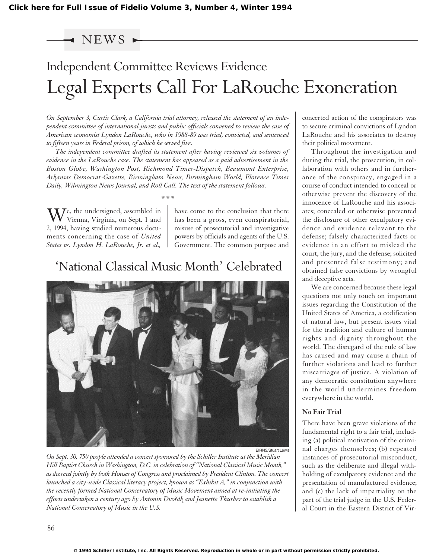## NEWS .

# Independent Committee Reviews Evidence Legal Experts Call For LaRouche Exoneration

*On September 3, Curtis Clark, a California trial attorney, released the statement of an independent committee of international jurists and public officials convened to review the case of American economist Lyndon LaRouche, who in 1988-89 was tried, convicted, and sentenced to fifteen years in Federal prison, of which he served five.*

*The independent committee drafted its statement after having reviewed six volumes of evidence in the LaRouche case. The statement has appeared as a paid advertisement in the Boston Globe, Washington Post, Richmond Times-Dispatch, Beaumont Enterprise, Arkansas Democrat-Gazette, Birmingham News, Birmingham World, Florence Times Daily, Wilmington News Journal, and Roll Call. The text of the statement follows.*

*\* \* \**

We, the undersigned, assembled in<br>Vienna, Virginia, on Sept. 1 and 2, 1994, having studied numerous documents concerning the case of *United States vs. Lyndon H. LaRouche, Jr. et al.,*

have come to the conclusion that there has been a gross, even conspiratorial, misuse of prosecutorial and investigative powers by officials and agents of the U.S. Government. The common purpose and

# 'National Classical Music Month' Celebrated



*On Sept. 30, 750 people attended a concert sponsored by the Schiller Institute at the Meridian Hill Baptist Church in Washington, D.C. in celebration of "National Classical Music Month," as decreed jointly by both Houses of Congress and proclaimed by President Clinton. The concert launched a city-wide Classical literacy project, known as "Exhibit A," in conjunction with the recently formed National Conservatory of Music Movement aimed at re-initiating the efforts undertaken a century ago by Antonin Dvoˇrák and Jeanette Thurber to establish a National Conservatory of Music in the U.S.*

concerted action of the conspirators was to secure criminal convictions of Lyndon LaRouche and his associates to destroy their political movement.

Throughout the investigation and during the trial, the prosecution, in collaboration with others and in furtherance of the conspiracy, engaged in a course of conduct intended to conceal or otherwise prevent the discovery of the innocence of LaRouche and his associates; concealed or otherwise prevented the disclosure of other exculpatory evidence and evidence relevant to the defense; falsely characterized facts or evidence in an effort to mislead the court, the jury, and the defense; solicited and presented false testimony; and obtained false convictions by wrongful and deceptive acts.

We are concerned because these legal questions not only touch on important issues regarding the Constitution of the United States of America, a codification of natural law, but present issues vital for the tradition and culture of human rights and dignity throughout the world. The disregard of the rule of law has caused and may cause a chain of further violations and lead to further miscarriages of justice. A violation of any democratic constitution anywhere in the world undermines freedom everywhere in the world.

#### **No Fair Trial**

There have been grave violations of the fundamental right to a fair trial, including (a) political motivation of the criminal charges themselves; (b) repeated instances of prosecutorial misconduct, such as the deliberate and illegal withholding of exculpatory evidence and the presentation of manufactured evidence; and (c) the lack of impartiality on the part of the trial judge in the U.S. Federal Court in the Eastern District of Vir